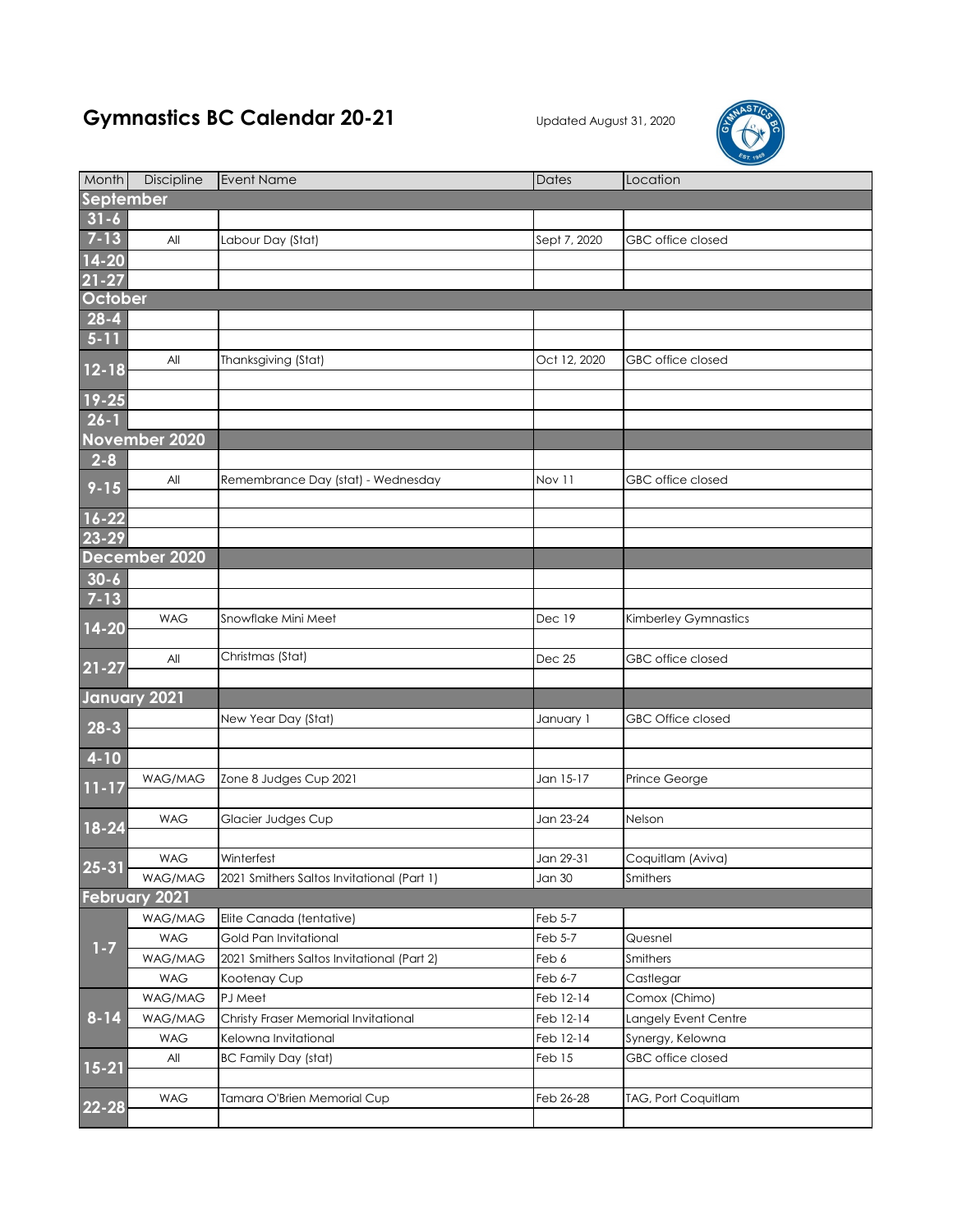## Gymnastics BC Calendar 20-21 Updated August 31, 2020



| Month     | <b>Discipline</b>    | <b>Event Name</b>                          | <b>Dates</b> | Location                 |  |  |  |  |
|-----------|----------------------|--------------------------------------------|--------------|--------------------------|--|--|--|--|
| September |                      |                                            |              |                          |  |  |  |  |
| $31 - 6$  |                      |                                            |              |                          |  |  |  |  |
| $7 - 13$  | All                  | Labour Day (Stat)                          | Sept 7, 2020 | GBC office closed        |  |  |  |  |
| $14 - 20$ |                      |                                            |              |                          |  |  |  |  |
| $21 - 27$ |                      |                                            |              |                          |  |  |  |  |
| October   |                      |                                            |              |                          |  |  |  |  |
| $28 - 4$  |                      |                                            |              |                          |  |  |  |  |
| $5-11$    |                      |                                            |              |                          |  |  |  |  |
|           | All                  | Thanksgiving (Stat)                        | Oct 12, 2020 | GBC office closed        |  |  |  |  |
| $12 - 18$ |                      |                                            |              |                          |  |  |  |  |
| $19 - 25$ |                      |                                            |              |                          |  |  |  |  |
| $26 - 1$  |                      |                                            |              |                          |  |  |  |  |
|           | November 2020        |                                            |              |                          |  |  |  |  |
| $2 - 8$   |                      |                                            |              |                          |  |  |  |  |
| $9 - 15$  | All                  | Remembrance Day (stat) - Wednesday         | Nov 11       | GBC office closed        |  |  |  |  |
|           |                      |                                            |              |                          |  |  |  |  |
| $16 - 22$ |                      |                                            |              |                          |  |  |  |  |
| 23-29     |                      |                                            |              |                          |  |  |  |  |
|           | December 2020        |                                            |              |                          |  |  |  |  |
| $30 - 6$  |                      |                                            |              |                          |  |  |  |  |
| $7 - 13$  |                      |                                            |              |                          |  |  |  |  |
| 14-20     | <b>WAG</b>           | Snowflake Mini Meet                        | Dec 19       | Kimberley Gymnastics     |  |  |  |  |
|           |                      |                                            |              |                          |  |  |  |  |
| $21 - 27$ | All                  | Christmas (Stat)                           | Dec 25       | GBC office closed        |  |  |  |  |
|           |                      |                                            |              |                          |  |  |  |  |
|           | January 2021         |                                            |              |                          |  |  |  |  |
| $28-3$    |                      | New Year Day (Stat)                        | January 1    | <b>GBC Office closed</b> |  |  |  |  |
|           |                      |                                            |              |                          |  |  |  |  |
| $4-10$    |                      |                                            |              |                          |  |  |  |  |
| $11 - 17$ | WAG/MAG              | Zone 8 Judges Cup 2021                     | Jan 15-17    | Prince George            |  |  |  |  |
|           |                      |                                            |              |                          |  |  |  |  |
| 18-24     | <b>WAG</b>           | Glacier Judges Cup                         | Jan 23-24    | Nelson                   |  |  |  |  |
|           |                      |                                            |              |                          |  |  |  |  |
| $25 - 31$ | <b>WAG</b>           | Winterfest                                 | Jan 29-31    | Coquitlam (Aviva)        |  |  |  |  |
|           | WAG/MAG              | 2021 Smithers Saltos Invitational (Part 1) | Jan 30       | Smithers                 |  |  |  |  |
|           | <b>February 2021</b> |                                            |              |                          |  |  |  |  |
|           | WAG/MAG              | Elite Canada (tentative)                   | Feb 5-7      |                          |  |  |  |  |
| $1 - 7$   | <b>WAG</b>           | Gold Pan Invitational                      | Feb 5-7      | Quesnel                  |  |  |  |  |
|           | WAG/MAG              | 2021 Smithers Saltos Invitational (Part 2) | Feb 6        | Smithers                 |  |  |  |  |
| $8 - 14$  | <b>WAG</b>           | Kootenay Cup                               | Feb 6-7      | Castlegar                |  |  |  |  |
|           | WAG/MAG              | PJ Meet                                    | Feb 12-14    | Comox (Chimo)            |  |  |  |  |
|           | WAG/MAG              | Christy Fraser Memorial Invitational       | Feb 12-14    | Langely Event Centre     |  |  |  |  |
|           | WAG                  | Kelowna Invitational                       | Feb 12-14    | Synergy, Kelowna         |  |  |  |  |
| $15 - 21$ | All                  | <b>BC Family Day (stat)</b>                | Feb 15       | GBC office closed        |  |  |  |  |
|           | <b>WAG</b>           |                                            |              |                          |  |  |  |  |
| 22-28     |                      | Tamara O'Brien Memorial Cup                | Feb 26-28    | TAG, Port Coquitlam      |  |  |  |  |
|           |                      |                                            |              |                          |  |  |  |  |